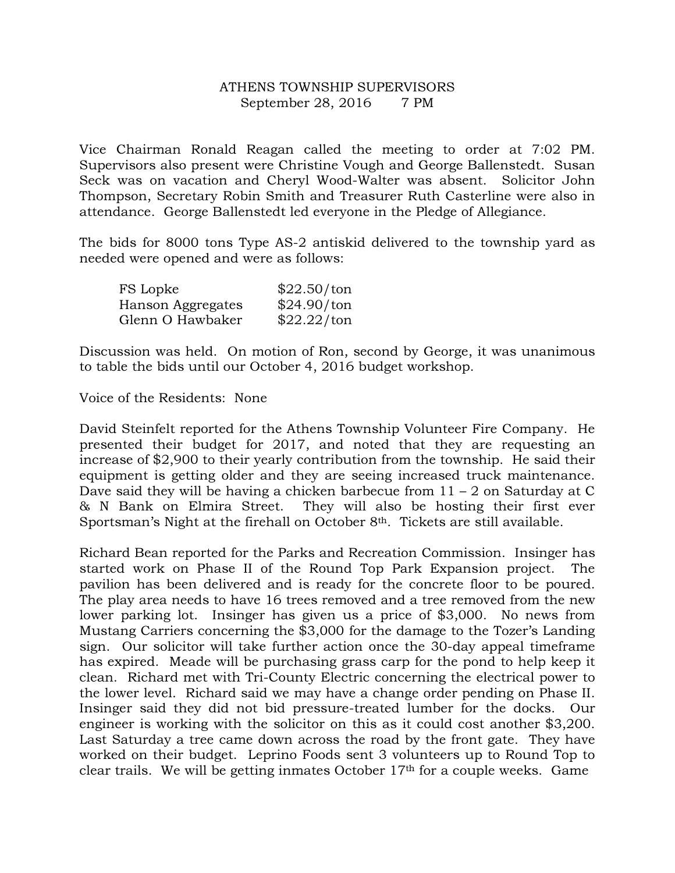## ATHENS TOWNSHIP SUPERVISORS September 28, 2016 7 PM

Vice Chairman Ronald Reagan called the meeting to order at 7:02 PM. Supervisors also present were Christine Vough and George Ballenstedt. Susan Seck was on vacation and Cheryl Wood-Walter was absent. Solicitor John Thompson, Secretary Robin Smith and Treasurer Ruth Casterline were also in attendance. George Ballenstedt led everyone in the Pledge of Allegiance.

The bids for 8000 tons Type AS-2 antiskid delivered to the township yard as needed were opened and were as follows:

| FS Lopke          | \$22.50/ton |
|-------------------|-------------|
| Hanson Aggregates | \$24.90/ton |
| Glenn O Hawbaker  | \$22.22/ton |

Discussion was held. On motion of Ron, second by George, it was unanimous to table the bids until our October 4, 2016 budget workshop.

Voice of the Residents: None

David Steinfelt reported for the Athens Township Volunteer Fire Company. He presented their budget for 2017, and noted that they are requesting an increase of \$2,900 to their yearly contribution from the township. He said their equipment is getting older and they are seeing increased truck maintenance. Dave said they will be having a chicken barbecue from  $11 - 2$  on Saturday at C & N Bank on Elmira Street. They will also be hosting their first ever Sportsman's Night at the firehall on October 8th. Tickets are still available.

Richard Bean reported for the Parks and Recreation Commission. Insinger has started work on Phase II of the Round Top Park Expansion project. The pavilion has been delivered and is ready for the concrete floor to be poured. The play area needs to have 16 trees removed and a tree removed from the new lower parking lot. Insinger has given us a price of \$3,000. No news from Mustang Carriers concerning the \$3,000 for the damage to the Tozer's Landing sign. Our solicitor will take further action once the 30-day appeal timeframe has expired. Meade will be purchasing grass carp for the pond to help keep it clean. Richard met with Tri-County Electric concerning the electrical power to the lower level. Richard said we may have a change order pending on Phase II. Insinger said they did not bid pressure-treated lumber for the docks. Our engineer is working with the solicitor on this as it could cost another \$3,200. Last Saturday a tree came down across the road by the front gate. They have worked on their budget. Leprino Foods sent 3 volunteers up to Round Top to clear trails. We will be getting inmates October 17th for a couple weeks. Game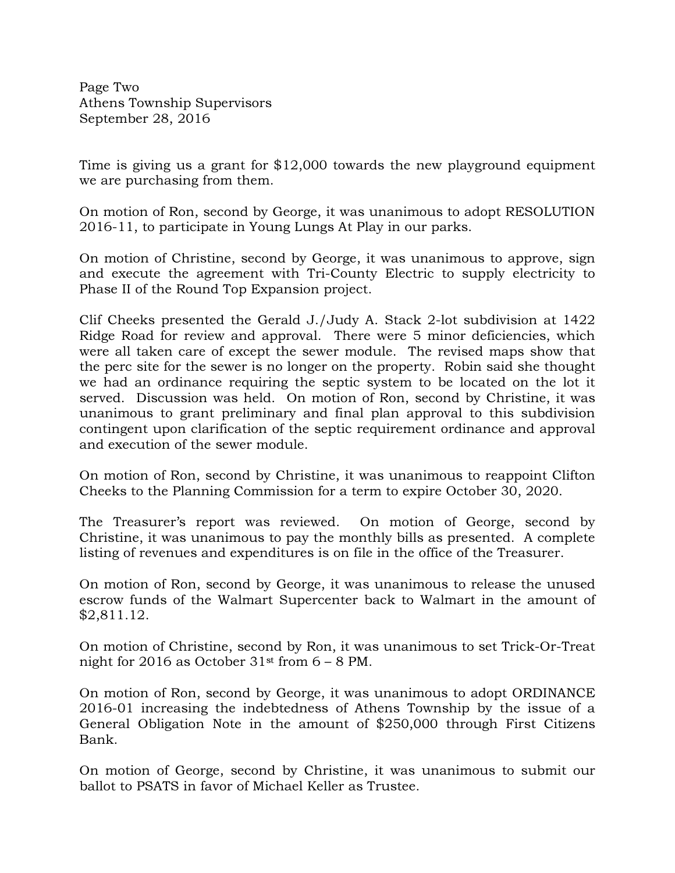Page Two Athens Township Supervisors September 28, 2016

Time is giving us a grant for \$12,000 towards the new playground equipment we are purchasing from them.

On motion of Ron, second by George, it was unanimous to adopt RESOLUTION 2016-11, to participate in Young Lungs At Play in our parks.

On motion of Christine, second by George, it was unanimous to approve, sign and execute the agreement with Tri-County Electric to supply electricity to Phase II of the Round Top Expansion project.

Clif Cheeks presented the Gerald J./Judy A. Stack 2-lot subdivision at 1422 Ridge Road for review and approval. There were 5 minor deficiencies, which were all taken care of except the sewer module. The revised maps show that the perc site for the sewer is no longer on the property. Robin said she thought we had an ordinance requiring the septic system to be located on the lot it served. Discussion was held. On motion of Ron, second by Christine, it was unanimous to grant preliminary and final plan approval to this subdivision contingent upon clarification of the septic requirement ordinance and approval and execution of the sewer module.

On motion of Ron, second by Christine, it was unanimous to reappoint Clifton Cheeks to the Planning Commission for a term to expire October 30, 2020.

The Treasurer's report was reviewed. On motion of George, second by Christine, it was unanimous to pay the monthly bills as presented. A complete listing of revenues and expenditures is on file in the office of the Treasurer.

On motion of Ron, second by George, it was unanimous to release the unused escrow funds of the Walmart Supercenter back to Walmart in the amount of \$2,811.12.

On motion of Christine, second by Ron, it was unanimous to set Trick-Or-Treat night for 2016 as October  $31<sup>st</sup>$  from  $6 - 8$  PM.

On motion of Ron, second by George, it was unanimous to adopt ORDINANCE 2016-01 increasing the indebtedness of Athens Township by the issue of a General Obligation Note in the amount of \$250,000 through First Citizens Bank.

On motion of George, second by Christine, it was unanimous to submit our ballot to PSATS in favor of Michael Keller as Trustee.